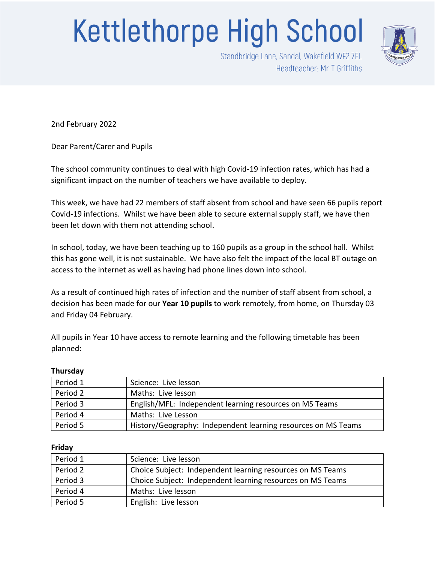## **Kettlethorpe High School**



Standbridge Lane, Sandal, Wakefield WF2 7EL Headteacher: Mr T Griffiths

2nd February 2022

Dear Parent/Carer and Pupils

The school community continues to deal with high Covid-19 infection rates, which has had a significant impact on the number of teachers we have available to deploy.

This week, we have had 22 members of staff absent from school and have seen 66 pupils report Covid-19 infections. Whilst we have been able to secure external supply staff, we have then been let down with them not attending school.

In school, today, we have been teaching up to 160 pupils as a group in the school hall. Whilst this has gone well, it is not sustainable. We have also felt the impact of the local BT outage on access to the internet as well as having had phone lines down into school.

As a result of continued high rates of infection and the number of staff absent from school, a decision has been made for our **Year 10 pupils** to work remotely, from home, on Thursday 03 and Friday 04 February.

All pupils in Year 10 have access to remote learning and the following timetable has been planned:

## **Thursday**

| Period 1 | Science: Live lesson                                          |
|----------|---------------------------------------------------------------|
| Period 2 | Maths: Live lesson                                            |
| Period 3 | English/MFL: Independent learning resources on MS Teams       |
| Period 4 | Maths: Live Lesson                                            |
| Period 5 | History/Geography: Independent learning resources on MS Teams |

## **Friday**

| Period 1 | Science: Live lesson                                       |
|----------|------------------------------------------------------------|
| Period 2 | Choice Subject: Independent learning resources on MS Teams |
| Period 3 | Choice Subject: Independent learning resources on MS Teams |
| Period 4 | Maths: Live lesson                                         |
| Period 5 | English: Live lesson                                       |